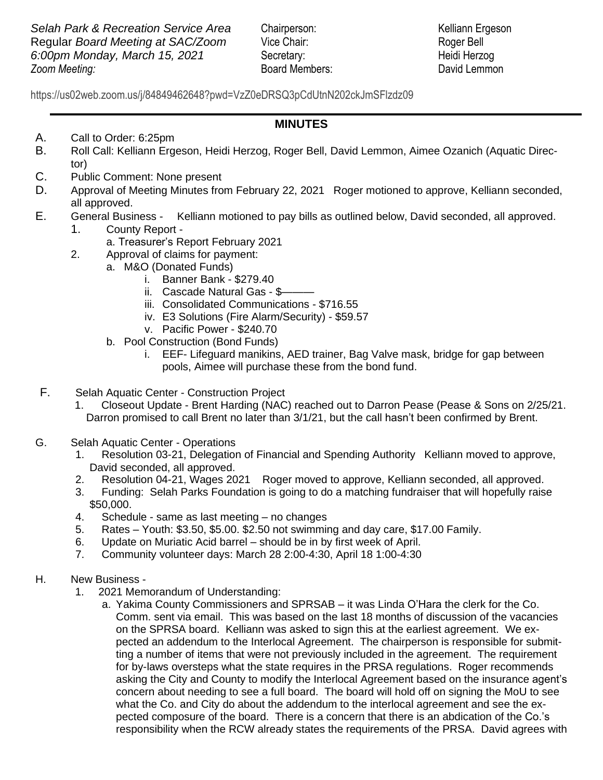**Zoom Meeting: Selah Park & Recreation Service Area** Chairperson: Kelliann Ergeson Regular *Board Meeting at SAC/Zoom* Vice Chair: Roger Bell *6:00pm Monday, March 15, 2021* Secretary: Heidi Herzog

*Zooma* Board Members: *Zooma David Lemmon* 

 https://us02web.zoom.us/j/84849462648?pwd=VzZ0eDRSQ3pCdUtnN202ckJmSFlzdz09

## **MINUTES**

- A. Call to Order: 6:25pm
- B. Roll Call: Kelliann Ergeson, Heidi Herzog, Roger Bell, David Lemmon, Aimee Ozanich (Aquatic Director)
- C. Public Comment: None present
- D. Approval of Meeting Minutes from February 22, 2021 Roger motioned to approve, Kelliann seconded, all approved.
- E. General Business Kelliann motioned to pay bills as outlined below, David seconded, all approved.
	- 1. County Report
		- a. Treasurer's Report February 2021
	- 2. Approval of claims for payment:
		- a. M&O (Donated Funds)
			- i. Banner Bank \$279.40
			- ii. Cascade Natural Gas \$-
			- iii. Consolidated Communications \$716.55
			- iv. E3 Solutions (Fire Alarm/Security) \$59.57
			- v. Pacific Power \$240.70
			- b. Pool Construction (Bond Funds)
				- i. EEF- Lifeguard manikins, AED trainer, Bag Valve mask, bridge for gap between pools, Aimee will purchase these from the bond fund.
- F. Selah Aquatic Center Construction Project
	- 1. Closeout Update Brent Harding (NAC) reached out to Darron Pease (Pease & Sons on 2/25/21. Darron promised to call Brent no later than 3/1/21, but the call hasn't been confirmed by Brent.
- G. Selah Aquatic Center Operations
	- 1. Resolution 03-21, Delegation of Financial and Spending Authority Kelliann moved to approve, David seconded, all approved.
	- 2. Resolution 04-21, Wages 2021 Roger moved to approve, Kelliann seconded, all approved.
	- 3. Funding: Selah Parks Foundation is going to do a matching fundraiser that will hopefully raise \$50,000.
	- 4. Schedule same as last meeting no changes
	- 5. Rates Youth: \$3.50, \$5.00. \$2.50 not swimming and day care, \$17.00 Family.
	- 6. Update on Muriatic Acid barrel should be in by first week of April.
	- 7. Community volunteer days: March 28 2:00-4:30, April 18 1:00-4:30
- H. New Business
	- 1. 2021 Memorandum of Understanding:
		- a. Yakima County Commissioners and SPRSAB it was Linda O'Hara the clerk for the Co. Comm. sent via email. This was based on the last 18 months of discussion of the vacancies on the SPRSA board. Kelliann was asked to sign this at the earliest agreement. We expected an addendum to the Interlocal Agreement. The chairperson is responsible for submitting a number of items that were not previously included in the agreement. The requirement for by-laws oversteps what the state requires in the PRSA regulations. Roger recommends asking the City and County to modify the Interlocal Agreement based on the insurance agent's concern about needing to see a full board. The board will hold off on signing the MoU to see what the Co. and City do about the addendum to the interlocal agreement and see the expected composure of the board. There is a concern that there is an abdication of the Co.'s responsibility when the RCW already states the requirements of the PRSA. David agrees with